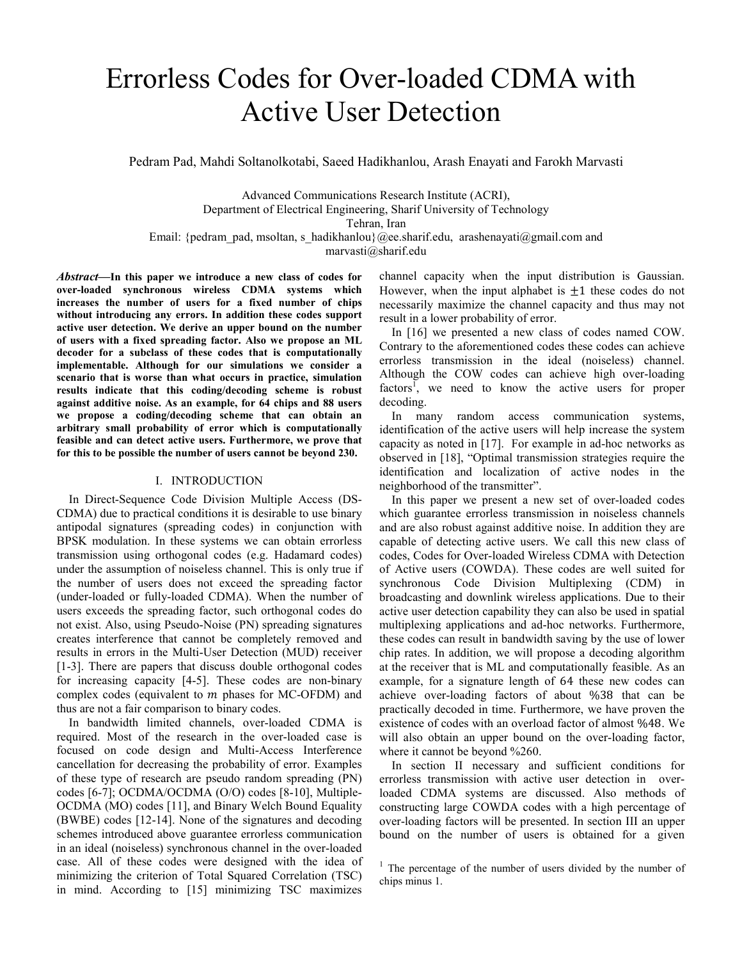# Errorless Codes for Over-loaded CDMA with Active User Detection

Pedram Pad, Mahdi Soltanolkotabi, Saeed Hadikhanlou, Arash Enayati and Farokh Marvasti

Advanced Communications Research Institute (ACRI), Department of Electrical Engineering, Sharif University of Technology Tehran, Iran Email: {pedram\_pad, msoltan, s\_hadikhanlou}@ee.sharif.edu, arashenayati@gmail.com and

marvasti@sharif.edu

*Abstract***—In this paper we introduce a new class of codes for over-loaded synchronous wireless CDMA systems which increases the number of users for a fixed number of chips without introducing any errors. In addition these codes support active user detection. We derive an upper bound on the number of users with a fixed spreading factor. Also we propose an ML decoder for a subclass of these codes that is computationally implementable. Although for our simulations we consider a scenario that is worse than what occurs in practice, simulation results indicate that this coding/decoding scheme is robust against additive noise. As an example, for 64 chips and 88 users we propose a coding/decoding scheme that can obtain an arbitrary small probability of error which is computationally feasible and can detect active users. Furthermore, we prove that for this to be possible the number of users cannot be beyond 230.** 

#### I. INTRODUCTION

In Direct-Sequence Code Division Multiple Access (DS-CDMA) due to practical conditions it is desirable to use binary antipodal signatures (spreading codes) in conjunction with BPSK modulation. In these systems we can obtain errorless transmission using orthogonal codes (e.g. Hadamard codes) under the assumption of noiseless channel. This is only true if the number of users does not exceed the spreading factor (under-loaded or fully-loaded CDMA). When the number of users exceeds the spreading factor, such orthogonal codes do not exist. Also, using Pseudo-Noise (PN) spreading signatures creates interference that cannot be completely removed and results in errors in the Multi-User Detection (MUD) receiver [1-3]. There are papers that discuss double orthogonal codes for increasing capacity [4-5]. These codes are non-binary complex codes (equivalent to  $m$  phases for MC-OFDM) and thus are not a fair comparison to binary codes.

In bandwidth limited channels, over-loaded CDMA is required. Most of the research in the over-loaded case is focused on code design and Multi-Access Interference cancellation for decreasing the probability of error. Examples of these type of research are pseudo random spreading (PN) codes [6-7]; OCDMA/OCDMA (O/O) codes [8-10], Multiple-OCDMA (MO) codes [11], and Binary Welch Bound Equality (BWBE) codes [12-14]. None of the signatures and decoding schemes introduced above guarantee errorless communication in an ideal (noiseless) synchronous channel in the over-loaded case. All of these codes were designed with the idea of minimizing the criterion of Total Squared Correlation (TSC) in mind. According to [15] minimizing TSC maximizes

channel capacity when the input distribution is Gaussian. However, when the input alphabet is  $\pm 1$  these codes do not necessarily maximize the channel capacity and thus may not result in a lower probability of error.

In [16] we presented a new class of codes named COW. Contrary to the aforementioned codes these codes can achieve errorless transmission in the ideal (noiseless) channel. Although the COW codes can achieve high over-loading factors<sup> $\overline{I}$ </sup>, we need to know the active users for proper decoding.

In many random access communication systems, identification of the active users will help increase the system capacity as noted in [17]. For example in ad-hoc networks as observed in [18], "Optimal transmission strategies require the identification and localization of active nodes in the neighborhood of the transmitter".

In this paper we present a new set of over-loaded codes which guarantee errorless transmission in noiseless channels and are also robust against additive noise. In addition they are capable of detecting active users. We call this new class of codes, Codes for Over-loaded Wireless CDMA with Detection of Active users (COWDA). These codes are well suited for synchronous Code Division Multiplexing (CDM) in broadcasting and downlink wireless applications. Due to their active user detection capability they can also be used in spatial multiplexing applications and ad-hoc networks. Furthermore, these codes can result in bandwidth saving by the use of lower chip rates. In addition, we will propose a decoding algorithm at the receiver that is ML and computationally feasible. As an example, for a signature length of 64 these new codes can achieve over-loading factors of about %38 that can be practically decoded in time. Furthermore, we have proven the existence of codes with an overload factor of almost ���. We will also obtain an upper bound on the over-loading factor, where it cannot be beyond %260.

In section II necessary and sufficient conditions for errorless transmission with active user detection in overloaded CDMA systems are discussed. Also methods of constructing large COWDA codes with a high percentage of over-loading factors will be presented. In section III an upper bound on the number of users is obtained for a given

 $1$  The percentage of the number of users divided by the number of chips minus 1.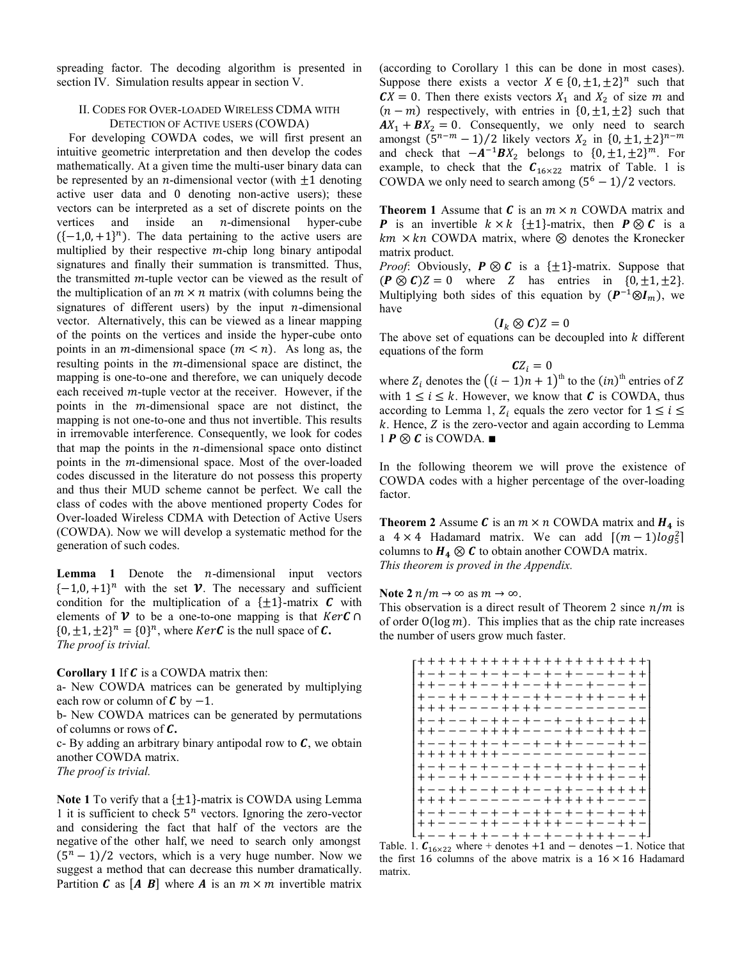spreading factor. The decoding algorithm is presented in section IV. Simulation results appear in section V.

## **II. CODES FOR OVER-LOADED WIRELESS CDMA WITH** DETECTION OF ACTIVE USERS (COWDA)

For developing COWDA codes, we will first present an intuitive geometric interpretation and then develop the codes mathematically. At a given time the multi-user binary data can be represented by an *n*-dimensional vector (with  $\pm 1$  denoting active user data and 0 denoting non-active users); these vectors can be interpreted as a set of discrete points on the inside an  $n$ -dimensional vertices and hyper-cube  $({-1,0,+1})^n$ ). The data pertaining to the active users are multiplied by their respective  $m$ -chip long binary antipodal signatures and finally their summation is transmitted. Thus, the transmitted  $m$ -tuple vector can be viewed as the result of the multiplication of an  $m \times n$  matrix (with columns being the signatures of different users) by the input  $n$ -dimensional vector. Alternatively, this can be viewed as a linear mapping of the points on the vertices and inside the hyper-cube onto points in an *m*-dimensional space  $(m < n)$ . As long as, the resulting points in the  $m$ -dimensional space are distinct, the mapping is one-to-one and therefore, we can uniquely decode each received  $m$ -tuple vector at the receiver. However, if the points in the *m*-dimensional space are not distinct, the mapping is not one-to-one and thus not invertible. This results in irremovable interference. Consequently, we look for codes that map the points in the  $n$ -dimensional space onto distinct points in the *m*-dimensional space. Most of the over-loaded codes discussed in the literature do not possess this property and thus their MUD scheme cannot be perfect. We call the class of codes with the above mentioned property Codes for Over-loaded Wireless CDMA with Detection of Active Users (COWDA). Now we will develop a systematic method for the generation of such codes.

**Lemma** 1 Denote the *n*-dimensional input vectors  $\{-1,0,+1\}$ <sup>n</sup> with the set **V**. The necessary and sufficient condition for the multiplication of a  $\{\pm 1\}$ -matrix C with elements of V to be a one-to-one mapping is that  $KerC \cap$  $\{0, \pm 1, \pm 2\}^n = \{0\}^n$ , where *KerC* is the null space of *C*. The proof is trivial.

Corollary 1 If  $C$  is a COWDA matrix then:

a- New COWDA matrices can be generated by multiplying each row or column of  $C$  by  $-1$ .

b- New COWDA matrices can be generated by permutations of columns or rows of  $C$ .

c- By adding an arbitrary binary antipodal row to  $C$ , we obtain another COWDA matrix.

The proof is trivial.

Note 1 To verify that a  $\{\pm 1\}$ -matrix is COWDA using Lemma 1 it is sufficient to check  $5^n$  vectors. Ignoring the zero-vector and considering the fact that half of the vectors are the negative of the other half, we need to search only amongst  $(5<sup>n</sup> - 1)/2$  vectors, which is a very huge number. Now we suggest a method that can decrease this number dramatically. Partition C as [A B] where A is an  $m \times m$  invertible matrix

(according to Corollary 1 this can be done in most cases). Suppose there exists a vector  $X \in \{0, \pm 1, \pm 2\}^n$  such that  $CX = 0$ . Then there exists vectors  $X_1$  and  $X_2$  of size m and  $(n-m)$  respectively, with entries in  $\{0, \pm 1, \pm 2\}$  such that  $AX_1 + BX_2 = 0$ . Consequently, we only need to search amongst  $(5^{n-m} - 1)/2$  likely vectors  $X_2$  in  $\{0, \pm 1, \pm 2\}^{n-m}$ and check that  $-A^{-1}BX_2$  belongs to  $\{0, \pm 1, \pm 2\}^m$ . For example, to check that the  $C_{16\times22}$  matrix of Table. 1 is COWDA we only need to search among  $(5^6 – 1)/2$  vectors.

**Theorem 1** Assume that  $C$  is an  $m \times n$  COWDA matrix and **P** is an invertible  $k \times k$  { $\pm 1$ }-matrix, then **P**  $\otimes$  **C** is a  $km \times kn$  COWDA matrix, where  $\otimes$  denotes the Kronecker matrix product.

*Proof*: Obviously,  $P \otimes C$  is a  $\{\pm 1\}$ -matrix. Suppose that  $(P \otimes C)Z = 0$  where Z has entries in  $\{0, \pm 1, \pm 2\}$ . Multiplying both sides of this equation by  $(P^{-1} \otimes I_m)$ , we have

# $(I_k \otimes C)Z = 0$

The above set of equations can be decoupled into  $k$  different equations of the form

$$
\boldsymbol{C} Z_i = 0
$$

where  $Z_i$  denotes the  $((i - 1)n + 1)$ <sup>th</sup> to the  $(in)^{th}$  entries of Z with  $1 \le i \le k$ . However, we know that C is COWDA, thus according to Lemma 1,  $Z_i$  equals the zero vector for  $1 \le i \le$  $k$ . Hence,  $Z$  is the zero-vector and again according to Lemma 1  $P \otimes C$  is COWDA.  $\blacksquare$ 

In the following theorem we will prove the existence of COWDA codes with a higher percentage of the over-loading factor.

**Theorem 2** Assume C is an  $m \times n$  COWDA matrix and  $H_4$  is a  $4 \times 4$  Hadamard matrix. We can add  $[(m-1)log_5^2]$ columns to  $H_4 \otimes C$  to obtain another COWDA matrix. This theorem is proved in the Appendix.

## Note  $2 n/m \rightarrow \infty$  as  $m \rightarrow \infty$ .

This observation is a direct result of Theorem 2 since  $n/m$  is of order  $O(\log m)$ . This implies that as the chip rate increases the number of users grow much faster.

| r++++++++++++++++++++++                                   |
|-----------------------------------------------------------|
| +-+-+-+-+-+-+-+---+-+                                     |
| ++--++--++--++--+---+-                                    |
| +--++--++--++--+++--++                                    |
| ++++----++++--                                            |
| +-+--+-++-+--+-++-+-++                                    |
| ++----++++----++-++++                                     |
| +--+-++-+--+-++----++-                                    |
| ++++++++----------+---                                    |
| +-+-+-+--+-+-+-++-+---+                                   |
| ++--++----++--+++++--+                                    |
| +--++--++++--++--+++++                                    |
| ++++--------++++++---                                     |
| +-+--+-+-+-++-+-+-+-+                                     |
| ++----++--++++--+--++-                                    |
| L+ - - + - + + - - + + - + - - + + + + - - + <del>J</del> |

Table. 1.  $C_{16\times22}$  where + denotes +1 and - denotes -1. Notice that the first 16 columns of the above matrix is a  $16 \times 16$  Hadamard matrix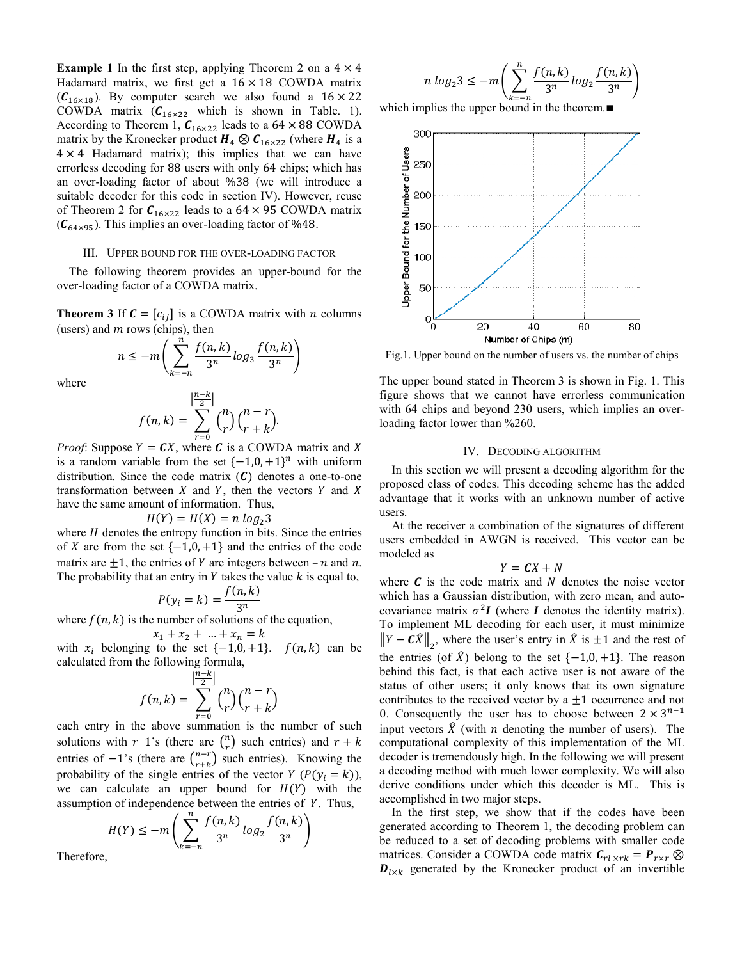**Example 1** In the first step, applying Theorem 2 on a  $4 \times 4$ Hadamard matrix, we first get a  $16 \times 18$  COWDA matrix  $(C_{16\times18})$ . By computer search we also found a  $16 \times 22$ COWDA matrix  $(C_{16\times22}$  which is shown in Table. 1). According to Theorem 1,  $C_{16\times22}$  leads to a 64 × 88 COWDA matrix by the Kronecker product  $H_4 \otimes C_{16 \times 22}$  (where  $H_4$  is a  $4 \times 4$  Hadamard matrix); this implies that we can have errorless decoding for 88 users with only 64 chips; which has an over-loading factor of about %38 (we will introduce a suitable decoder for this code in section IV). However, reuse of Theorem 2 for  $C_{16\times22}$  leads to a 64  $\times$  95 COWDA matrix  $(C_{64\times95})$ . This implies an over-loading factor of %48.

## III. UPPER BOUND FOR THE OVER-LOADING FACTOR

The following theorem provides an upper-bound for the over-loading factor of a COWDA matrix.

**Theorem 3** If  $\mathbf{C} = [c_{ij}]$  is a COWDA matrix with *n* columns (users) and  $m$  rows (chips), then

$$
n \leq -m \left( \sum_{k=-n}^{n} \frac{f(n,k)}{3^n} \log_3 \frac{f(n,k)}{3^n} \right)
$$

where

$$
f(n,k) = \sum_{r=0}^{\lfloor \frac{n-k}{2} \rfloor} {n \choose r} {n-r \choose r+k}.
$$

 $\overline{1}$ 

*Proof:* Suppose  $Y = CX$ , where C is a COWDA matrix and X is a random variable from the set  $\{-1,0,+1\}^n$  with uniform distribution. Since the code matrix  $(C)$  denotes a one-to-one transformation between  $X$  and  $Y$ , then the vectors  $Y$  and  $X$ have the same amount of information. Thus,

$$
H(Y) = H(X) = n \log_2 2
$$

where  $H$  denotes the entropy function in bits. Since the entries of X are from the set  $\{-1,0,+1\}$  and the entries of the code matrix are  $\pm 1$ , the entries of Y are integers between  $-n$  and n. The probability that an entry in  $Y$  takes the value  $k$  is equal to,

$$
P(y_i = k) = \frac{f(n, k)}{3^n}
$$

where  $f(n, k)$  is the number of solutions of the equation,

$$
x_1 + x_2 + \ldots + x_n = k
$$

with  $x_i$  belonging to the set  $\{-1,0,+1\}$ .  $f(n,k)$  can be calculated from the following formula,

$$
f(n,k) = \sum_{r=0}^{\lfloor \frac{n-k}{2} \rfloor} {n \choose r} {n-r \choose r+k}
$$

each entry in the above summation is the number of such solutions with r 1's (there are  $\binom{n}{r}$  such entries) and  $r + k$ entries of  $-1$ 's (there are  $\binom{n-r}{r+k}$  such entries). Knowing the probability of the single entries of the vector  $Y(P(y_i = k))$ , we can calculate an upper bound for  $H(Y)$  with the assumption of independence between the entries of Y. Thus,

$$
H(Y) \le -m\left(\sum_{k=-n}^{n} \frac{f(n,k)}{3^n} \log_2 \frac{f(n,k)}{3^n}\right)
$$

Therefore,

$$
n \log_2 3 \le -m \left( \sum_{k=-n}^n \frac{f(n,k)}{3^n} \log_2 \frac{f(n,k)}{3^n} \right)
$$

which implies the upper bound in the theorem. $\blacksquare$ 



Fig.1. Upper bound on the number of users vs. the number of chips

The upper bound stated in Theorem 3 is shown in Fig. 1. This figure shows that we cannot have errorless communication with 64 chips and beyond 230 users, which implies an overloading factor lower than %260.

### IV. DECODING ALGORITHM

In this section we will present a decoding algorithm for the proposed class of codes. This decoding scheme has the added advantage that it works with an unknown number of active users.

At the receiver a combination of the signatures of different users embedded in AWGN is received. This vector can be modeled as

$$
Y = \boldsymbol{C} X + N
$$

where  $\boldsymbol{c}$  is the code matrix and N denotes the noise vector which has a Gaussian distribution, with zero mean, and autocovariance matrix  $\sigma^2 I$  (where I denotes the identity matrix). To implement ML decoding for each user, it must minimize  $||Y - C\hat{X}||_2$ , where the user's entry in  $\hat{X}$  is  $\pm 1$  and the rest of the entries (of  $\hat{X}$ ) belong to the set {-1,0, +1}. The reason behind this fact, is that each active user is not aware of the status of other users; it only knows that its own signature contributes to the received vector by a  $\pm 1$  occurrence and not 0. Consequently the user has to choose between  $2 \times 3^{n-1}$ input vectors  $\hat{X}$  (with *n* denoting the number of users). The computational complexity of this implementation of the ML decoder is tremendously high. In the following we will present a decoding method with much lower complexity. We will also derive conditions under which this decoder is ML. This is accomplished in two major steps.

In the first step, we show that if the codes have been generated according to Theorem 1, the decoding problem can be reduced to a set of decoding problems with smaller code matrices. Consider a COWDA code matrix  $C_{rl \times rk} = P_{r \times r} \otimes$  $\mathbf{D}_{l \times k}$  generated by the Kronecker product of an invertible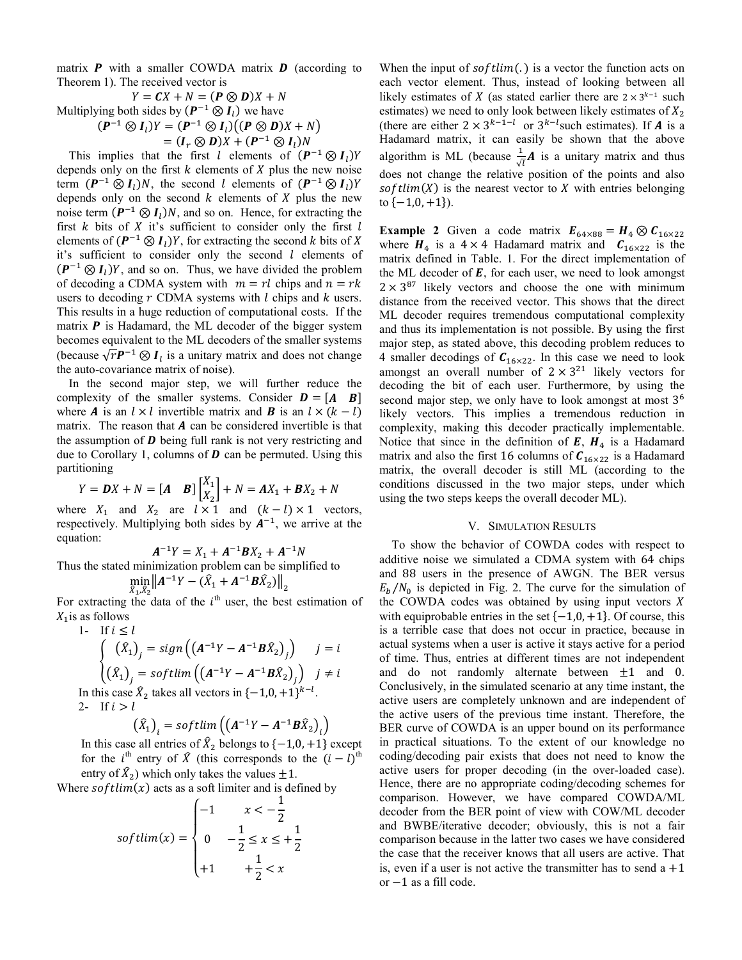matrix  $P$  with a smaller COWDA matrix  $D$  (according to Theorem 1). The received vector is

 $Y = CX + N = (P \otimes D)X + N$ Multiplying both sides by  $(P^{-1} \otimes I)$  we have  $(P^{-1} \otimes I_1)Y = (P^{-1} \otimes I_1)((P \otimes D)X + N)$  $=(I_r \otimes D)X + (P^{-1} \otimes I_l)N$ 

This implies that the first *l* elements of  $(P^{-1} \otimes I_1)Y$ depends only on the first  $k$  elements of  $X$  plus the new noise term  $(P^{-1} \otimes I_l)N$ , the second l elements of  $(P^{-1} \otimes I_l)Y$ depends only on the second  $k$  elements of  $X$  plus the new noise term  $(P^{-1} \otimes I_1)N$ , and so on. Hence, for extracting the first  $k$  bits of  $X$  it's sufficient to consider only the first  $l$ elements of  $(P^{-1} \otimes I)Y$ , for extracting the second k bits of X it's sufficient to consider only the second *l* elements of  $(P^{-1} \otimes I_1)Y$ , and so on. Thus, we have divided the problem of decoding a CDMA system with  $m = rl$  chips and  $n = rk$ users to decoding  $r$  CDMA systems with  $l$  chips and  $k$  users. This results in a huge reduction of computational costs. If the matrix  $P$  is Hadamard, the ML decoder of the bigger system becomes equivalent to the ML decoders of the smaller systems (because  $\sqrt{r}P^{-1} \otimes I_l$  is a unitary matrix and does not change the auto-covariance matrix of noise).

In the second major step, we will further reduce the complexity of the smaller systems. Consider  $\mathbf{D} = [\mathbf{A} \quad \mathbf{B}]$ where **A** is an  $l \times l$  invertible matrix and **B** is an  $l \times (k - l)$ matrix. The reason that  $A$  can be considered invertible is that the assumption of  $D$  being full rank is not very restricting and due to Corollary 1, columns of  $\bm{D}$  can be permuted. Using this partitioning

$$
Y = DX + N = [A \quad B] \begin{bmatrix} X_1 \\ X_2 \end{bmatrix} + N = AX_1 + BX_2 + N
$$

where  $X_1$  and  $X_2$  are  $l \times 1$  and  $(k-l) \times 1$  vectors, respectively. Multiplying both sides by  $A^{-1}$ , we arrive at the equation:

 $A^{-1}Y = X_1 + A^{-1}BX_2 + A^{-1}N$ Thus the stated minimization problem can be simplified to<br>min  $|| \mathbf{A}^{-1} \mathbf{v} - (\hat{\mathbf{X}} + \mathbf{A}^{-1} \mathbf{B} \hat{\mathbf{X}})^||$ 

$$
\min_{\hat{X}_1, \hat{X}_2} \|A^{-1}Y - (X_1 + A^{-1}BX_2)\|_2
$$

For extracting the data of the  $i<sup>m</sup>$  user, the best estimation of  $X_1$  is as follows

1- If  $i \leq l$ 

$$
\begin{cases}\n(\hat{X}_1)_j = sign((A^{-1}Y - A^{-1}B\hat{X}_2)_j) & j = i \\
(\hat{X}_1)_j = softmax((A^{-1}Y - A^{-1}B\hat{X}_2)_j) & j \neq i\n\end{cases}
$$

In this case  $\hat{X}_2$  takes all vectors in  $\{-1,0,+1\}^{k-l}$ . 2- If  $i > l$ 

$$
\left(\hat{X}_1\right)_i = \text{softmax}\left(\left(A^{-1}Y - A^{-1}\mathbf{B}\hat{X}_2\right)_i\right)
$$

In this case all entries of  $\hat{X}_2$  belongs to  $\{-1,0,+1\}$  except for the *i*<sup>th</sup> entry of  $\hat{X}$  (this corresponds to the  $(i - l)$ <sup>th</sup> entry of  $\hat{X}_2$ ) which only takes the values  $\pm 1$ .

Where  $softmax(x)$  acts as a soft limiter and is defined by

$$
softmax(x) = \begin{cases} -1 & x < -\frac{1}{2} \\ 0 & -\frac{1}{2} \le x \le +\frac{1}{2} \\ +1 & +\frac{1}{2} < x \end{cases}
$$

When the input of  $softmax(i)$  is a vector the function acts on each vector element. Thus, instead of looking between all likely estimates of X (as stated earlier there are  $2 \times 3^{k-1}$  such estimates) we need to only look between likely estimates of  $X_2$ <br>(there are either  $2 \times 3^{k-1-l}$  or  $3^{k-l}$ such estimates). If **A** is a Hadamard matrix, it can easily be shown that the above algorithm is ML (because  $\frac{1}{\sqrt{l}}A$  is a unitary matrix and thus does not change the relative position of the points and also softlim(X) is the nearest vector to X with entries belonging to  $\{-1,0,+1\}$ ).

**Example 2** Given a code matrix  $\mathbf{E}_{64\times88} = \mathbf{H}_4 \otimes \mathbf{C}_{16\times22}$ where  $H_4$  is a 4 × 4 Hadamard matrix and  $C_{16\times22}$  is the matrix defined in Table. 1. For the direct implementation of the ML decoder of  $E$ , for each user, we need to look amongst  $2 \times 3^{87}$  likely vectors and choose the one with minimum distance from the received vector. This shows that the direct ML decoder requires tremendous computational complexity and thus its implementation is not possible. By using the first major step, as stated above, this decoding problem reduces to 4 smaller decodings of  $C_{16\times22}$ . In this case we need to look<br>amongst an overall number of  $2 \times 3^{21}$  likely vectors for decoding the bit of each user. Furthermore, by using the second major step, we only have to look amongst at most 3<sup>6</sup> likely vectors. This implies a tremendous reduction in complexity, making this decoder practically implementable. Notice that since in the definition of  $E$ ,  $H_4$  is a Hadamard matrix and also the first 16 columns of  $C_{16\times22}$  is a Hadamard matrix, the overall decoder is still ML (according to the conditions discussed in the two major steps, under which using the two steps keeps the overall decoder ML).

#### V. SIMULATION RESULTS

To show the behavior of COWDA codes with respect to additive noise we simulated a CDMA system with 64 chips and 88 users in the presence of AWGN. The BER versus  $E_h/N_0$  is depicted in Fig. 2. The curve for the simulation of the COWDA codes was obtained by using input vectors X with equiprobable entries in the set  $\{-1,0,+1\}$ . Of course, this is a terrible case that does not occur in practice, because in actual systems when a user is active it stays active for a period of time. Thus, entries at different times are not independent and do not randomly alternate between  $\pm 1$  and 0. Conclusively, in the simulated scenario at any time instant, the active users are completely unknown and are independent of the active users of the previous time instant. Therefore, the BER curve of COWDA is an upper bound on its performance in practical situations. To the extent of our knowledge no coding/decoding pair exists that does not need to know the active users for proper decoding (in the over-loaded case). Hence, there are no appropriate coding/decoding schemes for comparison. However, we have compared COWDA/ML decoder from the BER point of view with COW/ML decoder and BWBE/iterative decoder; obviously, this is not a fair comparison because in the latter two cases we have considered the case that the receiver knows that all users are active. That is, even if a user is not active the transmitter has to send  $a + 1$ or  $-1$  as a fill code.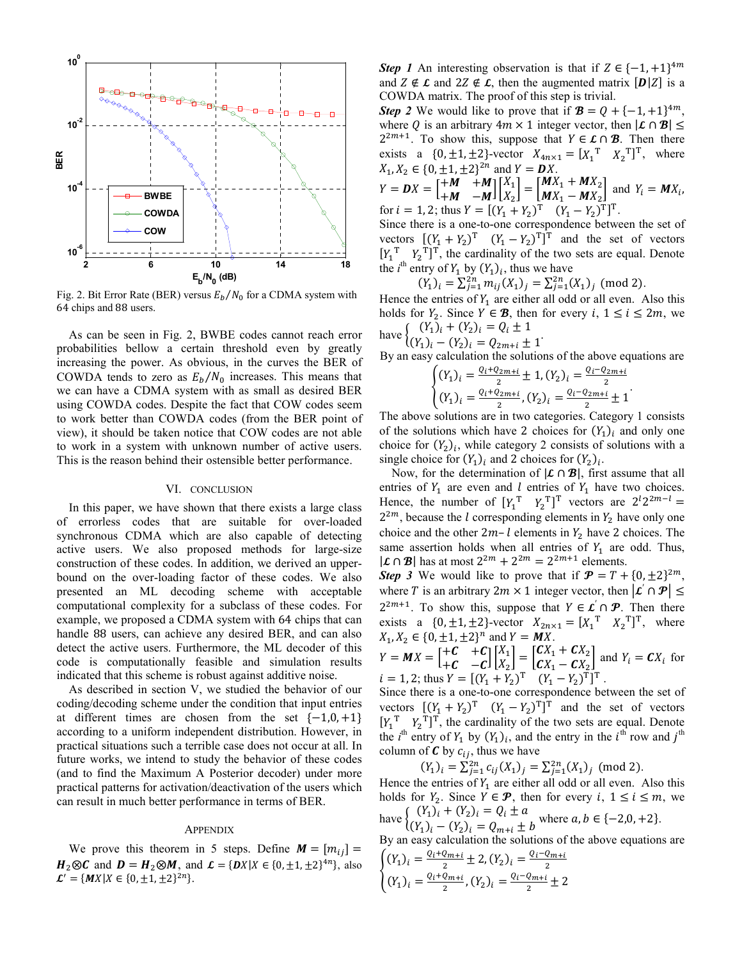

Fig. 2. Bit Error Rate (BER) versus  $E_b/N_0$  for a CDMA system with 64 chips and 88 users.

As can be seen in Fig. 2, BWBE codes cannot reach error probabilities bellow a certain threshold even by greatly increasing the power. As obvious, in the curves the BER of COWDA tends to zero as  $E_b/N_0$  increases. This means that we can have a CDMA system with as small as desired BER using COWDA codes. Despite the fact that COW codes seem to work better than COWDA codes (from the BER point of view), it should be taken notice that COW codes are not able to work in a system with unknown number of active users. This is the reason behind their ostensible better performance.

#### VI. CONCLUSION

In this paper, we have shown that there exists a large class of errorless codes that are suitable for over-loaded synchronous CDMA which are also capable of detecting active users. We also proposed methods for large-size construction of these codes. In addition, we derived an upperbound on the over-loading factor of these codes. We also presented an ML decoding scheme with acceptable computational complexity for a subclass of these codes. For example, we proposed a CDMA system with 64 chips that can handle 88 users, can achieve any desired BER, and can also detect the active users. Furthermore, the ML decoder of this code is computationally feasible and simulation results indicated that this scheme is robust against additive noise.

As described in section V, we studied the behavior of our coding/decoding scheme under the condition that input entries at different times are chosen from the set  $\{-1,0,+1\}$ according to a uniform independent distribution. However, in practical situations such a terrible case does not occur at all. In future works, we intend to study the behavior of these codes (and to find the Maximum A Posterior decoder) under more practical patterns for activation/deactivation of the users which can result in much better performance in terms of BER.

#### **APPENDIX**

We prove this theorem in 5 steps. Define  $M = [m_{ij}] =$  $H_2 \otimes C$  and  $D = H_2 \otimes M$ , and  $\mathcal{L} = \{DX | X \in \{0, \pm 1, \pm 2\}^{4n}\}$ , also  $\mathcal{L}' = \{MX | X \in \{0, \pm 1, \pm 2\}^{2n}\}.$ 

**Step 1** An interesting observation is that if  $Z \in \{-1, +1\}^{4m}$ and  $Z \notin \mathcal{L}$  and  $2Z \notin \mathcal{L}$ , then the augmented matrix  $[D|Z]$  is a COWDA matrix. The proof of this step is trivial.

**Step 2** We would like to prove that if  $\mathbf{B} = Q + \{-1, +1\}^{4m}$ , where Q is an arbitrary  $4m \times 1$  integer vector, then  $|\mathcal{L} \cap \mathcal{B}| \le$  $2^{2m+1}$ . To show this, suppose that  $Y \in \mathcal{L} \cap \mathcal{B}$ . Then there exists a {0, ±1, ±2}-vector  $X_{4n \times 1} = [X_1^T \ X_2^T]^T$ , where  $X_1, X_2 \in \{0, \pm 1, \pm 2\}^{2n}$  and  $Y = DX$ .

$$
Y = DX = \begin{bmatrix} +M & +M \\ +M & -M \end{bmatrix} \begin{bmatrix} X_1 \\ X_2 \end{bmatrix} = \begin{bmatrix} MX_1 + MX_2 \\ MX_1 - MX_2 \end{bmatrix} \text{ and } Y_i = MX_i,
$$
  
for  $i = 1, 2$ ; thus  $Y = [(Y_1 + Y_2)^T (Y_1 - Y_2)^T]^T$ .

Since there is a one-to-one correspondence between the set of vectors  $[(Y_1 + Y_2)^T (Y_1 - Y_2)^T]^T$  and the set of vectors  $[Y_1^T Y_2^T]^T$ , the cardinality of the two sets are equal. Denote the *i*<sup>th</sup> entry of  $Y_1$  by  $(Y_1)_i$ , thus we have

$$
(Y_1)_i = \sum_{j=1}^{2n} m_{ij}(X_1)_j = \sum_{j=1}^{2n} (X_1)_j \pmod{2}
$$

Hence the entries of  $Y_1$  are either all odd or all even. Also this holds for  $Y_2$ . Since  $Y \in \mathcal{B}$ , then for every  $i, 1 \le i \le 2m$ , we  $\sum_{k \in \mathbb{Z}} (Y_1)_i + (Y_2)_i = Q_i \pm 1$ 

$$
I_{\mu\nu}^{(Y_1)}(Y_1)_i - (Y_2)_i = Q_{2m+i} \pm 1
$$

By an easy calculation the solutions of the above equations are  $\int$  $Q_i + Q_{2m+i+1}$  1 (V)  $Q_i - Q_{2m+i}$ 

$$
\begin{cases}\n(Y_1)_i = \frac{i(1 - \frac{1}{2}) + 1}{2}, (Y_2)_i = \frac{i(1 - \frac{1}{2}) + 1}{2}, \\
(Y_1)_i = \frac{Q_i + Q_{2m+i}}{2}, (Y_2)_i = \frac{Q_i - Q_{2m+i}}{2} \pm 1\n\end{cases}
$$

The above solutions are in two categories. Category 1 consists of the solutions which have 2 choices for  $(Y_1)$  and only one choice for  $(Y_2)_i$ , while category 2 consists of solutions with a single choice for  $(Y_1)_i$  and 2 choices for  $(Y_2)_i$ .

Now, for the determination of  $|\mathcal{L} \cap \mathcal{B}|$ , first assume that all entries of  $Y_1$  are even and l entries of  $Y_1$  have two choices. Hence, the number of  $[Y_1^T Y_2^T]^T$  vectors are  $2^l 2^{2m-l}$  =  $2^{2m}$ , because the *l* corresponding elements in  $Y_2$  have only one choice and the other  $2m-l$  elements in  $Y_2$  have 2 choices. The same assertion holds when all entries of  $Y_1$  are odd. Thus,  $|\mathcal{L} \cap \mathcal{B}|$  has at most  $2^{2m} + 2^{2m} = 2^{2m+1}$  elements.

**Step 3** We would like to prove that if  $\mathbf{P} = T + \{0, \pm 2\}^{2m}$ , where T is an arbitrary  $2m \times 1$  integer vector, then  $|\mathcal{L} \cap \mathcal{P}| \le$  $2^{2m+1}$ . To show this, suppose that  $Y \in \mathcal{L}' \cap \mathcal{P}$ . Then there exists a  $\{0, \pm 1, \pm 2\}$ -vector  $X_{2n \times 1} = [X_1^T \ X_2^T]^T$ , where  $X_1, X_2 \in \{0, \pm 1, \pm 2\}^n$  and  $Y = \mathbf{M}X$ .

 $Y = MX = \begin{bmatrix} +C & +C \\ +C & -C \end{bmatrix} \begin{bmatrix} X_1 \\ X_2 \end{bmatrix} = \begin{bmatrix} CX_1 + CX_2 \\ CX_1 - CX_2 \end{bmatrix}$  and  $Y_i = CX_i$  for<br>  $i = 1, 2$ ; thus  $Y = [(Y_1 + Y_2)^T (Y_1 - Y_2)^T]^T$ .

Since there is a one-to-one correspondence between the set of vectors  $[(Y_1 + Y_2)^T (Y_1 - Y_2)^T]^T$  and the set of vectors  $[Y_1^T, Y_2^T]^T$ , the cardinality of the two sets are equal. Denote the *i*<sup>th</sup> entry of  $Y_1$  by  $(Y_1)_i$ , and the entry in the *i*<sup>th</sup> row and *j*<sup>th</sup> column of  $C$  by  $c_{ij}$ , thus we have

$$
(Y_1)_i = \sum_{j=1}^{2n} c_{ij}(X_1)_j = \sum_{j=1}^{2n} (X_1)_j \pmod{2}
$$

Hence the entries of  $Y_1$  are either all odd or all even. Also this holds for  $Y_2$ . Since  $Y \in \mathcal{P}$ , then for every  $i, 1 \le i \le m$ , we have  $\begin{cases} (Y_1)_i + (Y_2)_i = Q_i \pm a \\ (Y_1)_i - (Y_2)_i = Q_{m+i} \pm b \end{cases}$  where  $a, b \in \{-2, 0, +2\}.$ 

By an easy calculation the solutions of the above equations are  $\int$ (v)  $\int$   $Q_i+Q_{m+i}$   $\int$   $\int$   $\int$   $\int$   $Q_i-Q_{m+i}$ 

$$
\begin{cases}\n(Y_1)_i = \frac{2Y - 2\mu + 2}{2} \pm Z, (Y_2)_i = \frac{2Y - 2\mu + 2}{2} \\
(Y_1)_i = \frac{Q_i + Q_{m+i}}{2}, (Y_2)_i = \frac{Q_i - Q_{m+i}}{2} \pm 2\n\end{cases}
$$